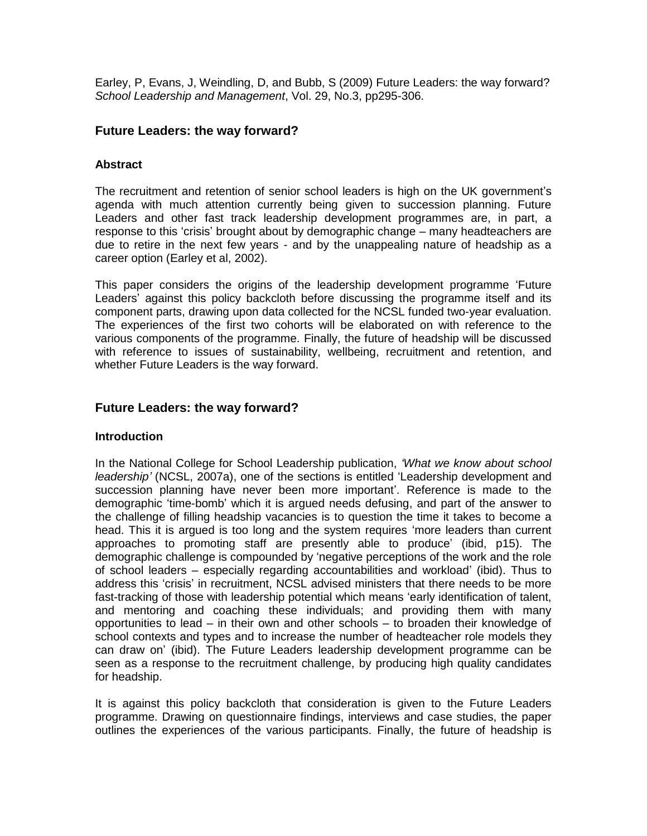Earley, P, Evans, J, Weindling, D, and Bubb, S (2009) Future Leaders: the way forward? *School Leadership and Management*, Vol. 29, No.3, pp295-306.

# **Future Leaders: the way forward?**

## **Abstract**

The recruitment and retention of senior school leaders is high on the UK government's agenda with much attention currently being given to succession planning. Future Leaders and other fast track leadership development programmes are, in part, a response to this 'crisis' brought about by demographic change – many headteachers are due to retire in the next few years - and by the unappealing nature of headship as a career option (Earley et al, 2002).

This paper considers the origins of the leadership development programme 'Future Leaders' against this policy backcloth before discussing the programme itself and its component parts, drawing upon data collected for the NCSL funded two-year evaluation. The experiences of the first two cohorts will be elaborated on with reference to the various components of the programme. Finally, the future of headship will be discussed with reference to issues of sustainability, wellbeing, recruitment and retention, and whether Future Leaders is the way forward.

## **Future Leaders: the way forward?**

### **Introduction**

In the National College for School Leadership publication, *'What we know about school leadership'* (NCSL, 2007a), one of the sections is entitled 'Leadership development and succession planning have never been more important'. Reference is made to the demographic 'time-bomb' which it is argued needs defusing, and part of the answer to the challenge of filling headship vacancies is to question the time it takes to become a head. This it is argued is too long and the system requires 'more leaders than current approaches to promoting staff are presently able to produce' (ibid, p15). The demographic challenge is compounded by 'negative perceptions of the work and the role of school leaders – especially regarding accountabilities and workload' (ibid). Thus to address this 'crisis' in recruitment, NCSL advised ministers that there needs to be more fast-tracking of those with leadership potential which means 'early identification of talent, and mentoring and coaching these individuals; and providing them with many opportunities to lead – in their own and other schools – to broaden their knowledge of school contexts and types and to increase the number of headteacher role models they can draw on' (ibid). The Future Leaders leadership development programme can be seen as a response to the recruitment challenge, by producing high quality candidates for headship.

It is against this policy backcloth that consideration is given to the Future Leaders programme. Drawing on questionnaire findings, interviews and case studies, the paper outlines the experiences of the various participants. Finally, the future of headship is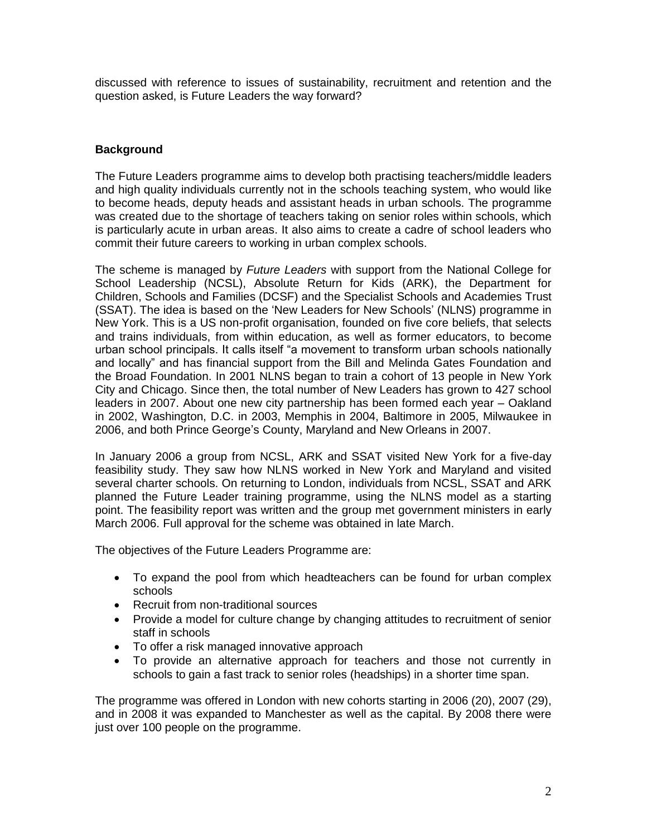discussed with reference to issues of sustainability, recruitment and retention and the question asked, is Future Leaders the way forward?

## **Background**

The Future Leaders programme aims to develop both practising teachers/middle leaders and high quality individuals currently not in the schools teaching system, who would like to become heads, deputy heads and assistant heads in urban schools. The programme was created due to the shortage of teachers taking on senior roles within schools, which is particularly acute in urban areas. It also aims to create a cadre of school leaders who commit their future careers to working in urban complex schools.

The scheme is managed by *Future Leaders* with support from the National College for School Leadership (NCSL), Absolute Return for Kids (ARK), the Department for Children, Schools and Families (DCSF) and the Specialist Schools and Academies Trust (SSAT). The idea is based on the 'New Leaders for New Schools' (NLNS) programme in New York. This is a US non-profit organisation, founded on [five core beliefs,](http://www.nlns.org/NLWeb/AboutUs.jsp) that selects and trains individuals, from within education, as well as former educators, to become urban school principals. It calls itself "a movement to transform urban schools nationally and locally" and has financial support from the Bill and Melinda Gates Foundation and the Broad Foundation. In 2001 NLNS began to train a cohort of 13 people in New York City and Chicago. Since then, the total number of New Leaders has grown to 427 school leaders in 2007. About one new city partnership has been formed each year – Oakland in 2002, Washington, D.C. in 2003, Memphis in 2004, Baltimore in 2005, Milwaukee in 2006, and both Prince George's County, Maryland and New Orleans in 2007.

In January 2006 a group from NCSL, ARK and SSAT visited New York for a five-day feasibility study. They saw how NLNS worked in New York and Maryland and visited several charter schools. On returning to London, individuals from NCSL, SSAT and ARK planned the Future Leader training programme, using the NLNS model as a starting point. The feasibility report was written and the group met government ministers in early March 2006. Full approval for the scheme was obtained in late March.

The objectives of the Future Leaders Programme are:

- To expand the pool from which headteachers can be found for urban complex schools
- Recruit from non-traditional sources
- Provide a model for culture change by changing attitudes to recruitment of senior staff in schools
- To offer a risk managed innovative approach
- To provide an alternative approach for teachers and those not currently in schools to gain a fast track to senior roles (headships) in a shorter time span.

The programme was offered in London with new cohorts starting in 2006 (20), 2007 (29), and in 2008 it was expanded to Manchester as well as the capital. By 2008 there were just over 100 people on the programme.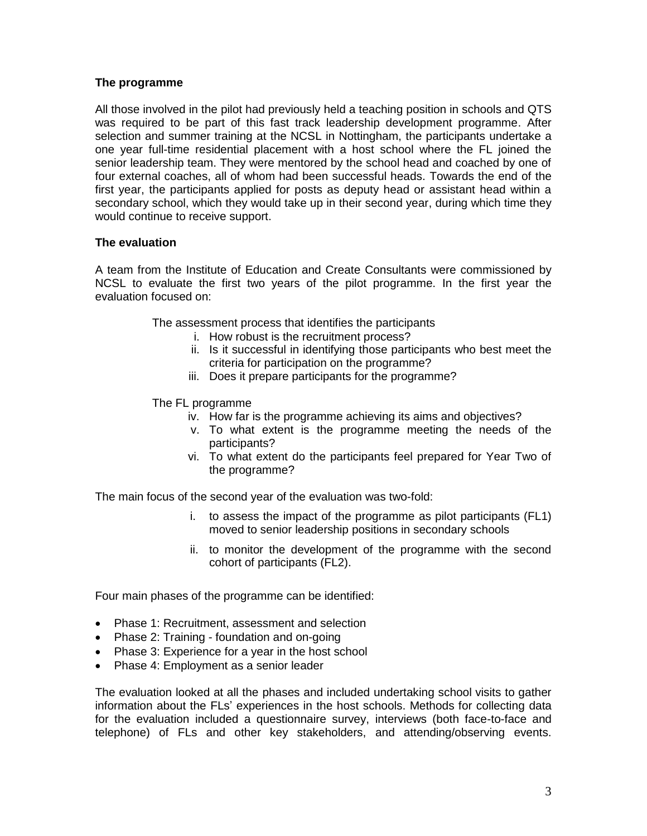# **The programme**

All those involved in the pilot had previously held a teaching position in schools and QTS was required to be part of this fast track leadership development programme. After selection and summer training at the NCSL in Nottingham, the participants undertake a one year full-time residential placement with a host school where the FL joined the senior leadership team. They were mentored by the school head and coached by one of four external coaches, all of whom had been successful heads. Towards the end of the first year, the participants applied for posts as deputy head or assistant head within a secondary school, which they would take up in their second year, during which time they would continue to receive support.

## **The evaluation**

A team from the Institute of Education and Create Consultants were commissioned by NCSL to evaluate the first two years of the pilot programme. In the first year the evaluation focused on:

The assessment process that identifies the participants

- i. How robust is the recruitment process?
- ii. Is it successful in identifying those participants who best meet the criteria for participation on the programme?
- iii. Does it prepare participants for the programme?

The FL programme

- iv. How far is the programme achieving its aims and objectives?
- v. To what extent is the programme meeting the needs of the participants?
- vi. To what extent do the participants feel prepared for Year Two of the programme?

The main focus of the second year of the evaluation was two-fold:

- i. to assess the impact of the programme as pilot participants (FL1) moved to senior leadership positions in secondary schools
- ii. to monitor the development of the programme with the second cohort of participants (FL2).

Four main phases of the programme can be identified:

- Phase 1: Recruitment, assessment and selection
- Phase 2: Training foundation and on-going
- Phase 3: Experience for a vear in the host school
- Phase 4: Employment as a senior leader

The evaluation looked at all the phases and included undertaking school visits to gather information about the FLs' experiences in the host schools. Methods for collecting data for the evaluation included a questionnaire survey, interviews (both face-to-face and telephone) of FLs and other key stakeholders, and attending/observing events.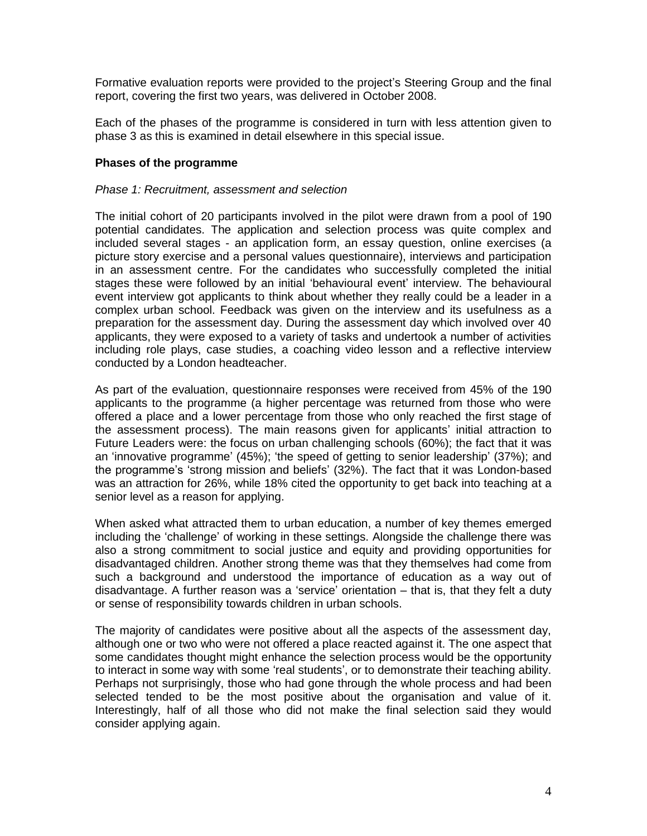Formative evaluation reports were provided to the project's Steering Group and the final report, covering the first two years, was delivered in October 2008.

Each of the phases of the programme is considered in turn with less attention given to phase 3 as this is examined in detail elsewhere in this special issue.

### **Phases of the programme**

#### *Phase 1: Recruitment, assessment and selection*

The initial cohort of 20 participants involved in the pilot were drawn from a pool of 190 potential candidates. The application and selection process was quite complex and included several stages - an application form, an essay question, online exercises (a picture story exercise and a personal values questionnaire), interviews and participation in an assessment centre. For the candidates who successfully completed the initial stages these were followed by an initial 'behavioural event' interview. The behavioural event interview got applicants to think about whether they really could be a leader in a complex urban school. Feedback was given on the interview and its usefulness as a preparation for the assessment day. During the assessment day which involved over 40 applicants, they were exposed to a variety of tasks and undertook a number of activities including role plays, case studies, a coaching video lesson and a reflective interview conducted by a London headteacher.

As part of the evaluation, questionnaire responses were received from 45% of the 190 applicants to the programme (a higher percentage was returned from those who were offered a place and a lower percentage from those who only reached the first stage of the assessment process). The main reasons given for applicants' initial attraction to Future Leaders were: the focus on urban challenging schools (60%); the fact that it was an 'innovative programme' (45%); 'the speed of getting to senior leadership' (37%); and the programme's 'strong mission and beliefs' (32%). The fact that it was London-based was an attraction for 26%, while 18% cited the opportunity to get back into teaching at a senior level as a reason for applying.

When asked what attracted them to urban education, a number of key themes emerged including the 'challenge' of working in these settings. Alongside the challenge there was also a strong commitment to social justice and equity and providing opportunities for disadvantaged children. Another strong theme was that they themselves had come from such a background and understood the importance of education as a way out of disadvantage. A further reason was a 'service' orientation – that is, that they felt a duty or sense of responsibility towards children in urban schools.

The majority of candidates were positive about all the aspects of the assessment day, although one or two who were not offered a place reacted against it. The one aspect that some candidates thought might enhance the selection process would be the opportunity to interact in some way with some 'real students', or to demonstrate their teaching ability. Perhaps not surprisingly, those who had gone through the whole process and had been selected tended to be the most positive about the organisation and value of it. Interestingly, half of all those who did not make the final selection said they would consider applying again.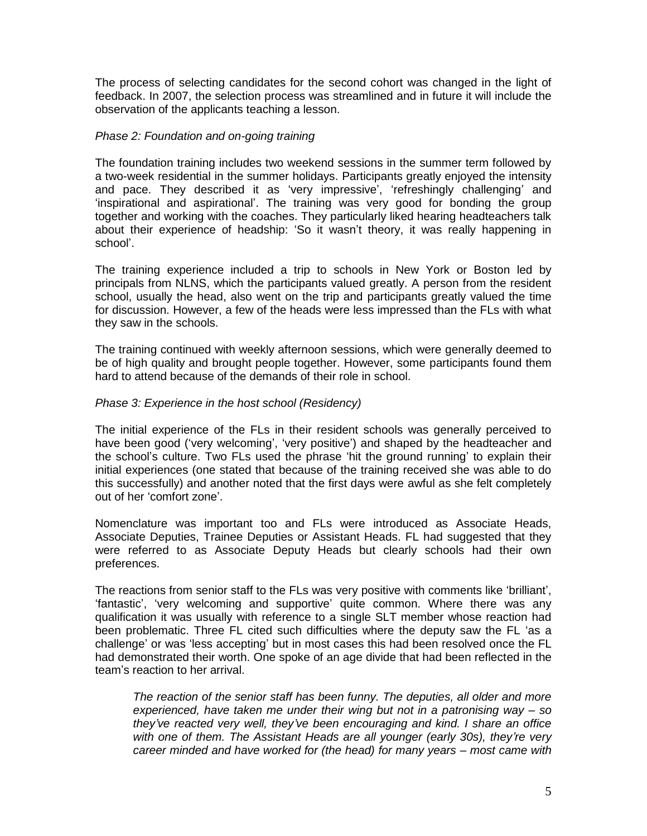The process of selecting candidates for the second cohort was changed in the light of feedback. In 2007, the selection process was streamlined and in future it will include the observation of the applicants teaching a lesson.

## *Phase 2: Foundation and on-going training*

The foundation training includes two weekend sessions in the summer term followed by a two-week residential in the summer holidays. Participants greatly enjoyed the intensity and pace. They described it as 'very impressive', 'refreshingly challenging' and 'inspirational and aspirational'. The training was very good for bonding the group together and working with the coaches. They particularly liked hearing headteachers talk about their experience of headship: 'So it wasn't theory, it was really happening in school'.

The training experience included a trip to schools in New York or Boston led by principals from NLNS, which the participants valued greatly. A person from the resident school, usually the head, also went on the trip and participants greatly valued the time for discussion. However, a few of the heads were less impressed than the FLs with what they saw in the schools.

The training continued with weekly afternoon sessions, which were generally deemed to be of high quality and brought people together. However, some participants found them hard to attend because of the demands of their role in school.

## *Phase 3: Experience in the host school (Residency)*

The initial experience of the FLs in their resident schools was generally perceived to have been good ('very welcoming', 'very positive') and shaped by the headteacher and the school's culture. Two FLs used the phrase 'hit the ground running' to explain their initial experiences (one stated that because of the training received she was able to do this successfully) and another noted that the first days were awful as she felt completely out of her 'comfort zone'.

Nomenclature was important too and FLs were introduced as Associate Heads, Associate Deputies, Trainee Deputies or Assistant Heads. FL had suggested that they were referred to as Associate Deputy Heads but clearly schools had their own preferences.

The reactions from senior staff to the FLs was very positive with comments like 'brilliant', 'fantastic', 'very welcoming and supportive' quite common. Where there was any qualification it was usually with reference to a single SLT member whose reaction had been problematic. Three FL cited such difficulties where the deputy saw the FL 'as a challenge' or was 'less accepting' but in most cases this had been resolved once the FL had demonstrated their worth. One spoke of an age divide that had been reflected in the team's reaction to her arrival.

*The reaction of the senior staff has been funny. The deputies, all older and more experienced, have taken me under their wing but not in a patronising way – so they've reacted very well, they've been encouraging and kind. I share an office with one of them. The Assistant Heads are all younger (early 30s), they're very career minded and have worked for (the head) for many years – most came with*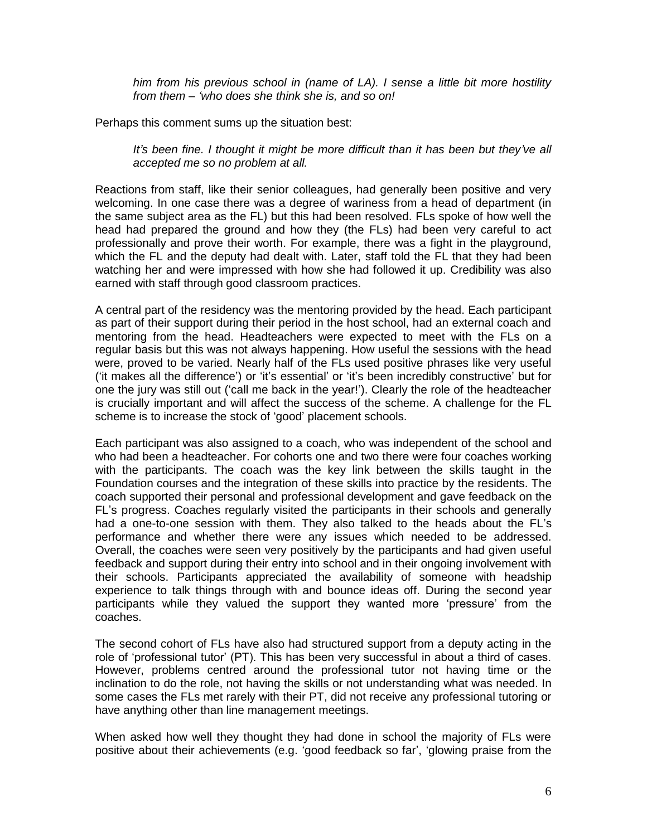*him from his previous school in (name of LA). I sense a little bit more hostility from them – 'who does she think she is, and so on!* 

Perhaps this comment sums up the situation best:

*It's been fine. I thought it might be more difficult than it has been but they've all accepted me so no problem at all.* 

Reactions from staff, like their senior colleagues, had generally been positive and very welcoming. In one case there was a degree of wariness from a head of department (in the same subject area as the FL) but this had been resolved. FLs spoke of how well the head had prepared the ground and how they (the FLs) had been very careful to act professionally and prove their worth. For example, there was a fight in the playground, which the FL and the deputy had dealt with. Later, staff told the FL that they had been watching her and were impressed with how she had followed it up. Credibility was also earned with staff through good classroom practices.

A central part of the residency was the mentoring provided by the head. Each participant as part of their support during their period in the host school, had an external coach and mentoring from the head. Headteachers were expected to meet with the FLs on a regular basis but this was not always happening. How useful the sessions with the head were, proved to be varied. Nearly half of the FLs used positive phrases like very useful ('it makes all the difference') or 'it's essential' or 'it's been incredibly constructive' but for one the jury was still out ('call me back in the year!'). Clearly the role of the headteacher is crucially important and will affect the success of the scheme. A challenge for the FL scheme is to increase the stock of 'good' placement schools.

Each participant was also assigned to a coach, who was independent of the school and who had been a headteacher. For cohorts one and two there were four coaches working with the participants. The coach was the key link between the skills taught in the Foundation courses and the integration of these skills into practice by the residents. The coach supported their personal and professional development and gave feedback on the FL's progress. Coaches regularly visited the participants in their schools and generally had a one-to-one session with them. They also talked to the heads about the FL's performance and whether there were any issues which needed to be addressed. Overall, the coaches were seen very positively by the participants and had given useful feedback and support during their entry into school and in their ongoing involvement with their schools. Participants appreciated the availability of someone with headship experience to talk things through with and bounce ideas off. During the second year participants while they valued the support they wanted more 'pressure' from the coaches.

The second cohort of FLs have also had structured support from a deputy acting in the role of 'professional tutor' (PT). This has been very successful in about a third of cases. However, problems centred around the professional tutor not having time or the inclination to do the role, not having the skills or not understanding what was needed. In some cases the FLs met rarely with their PT, did not receive any professional tutoring or have anything other than line management meetings.

When asked how well they thought they had done in school the majority of FLs were positive about their achievements (e.g. 'good feedback so far', 'glowing praise from the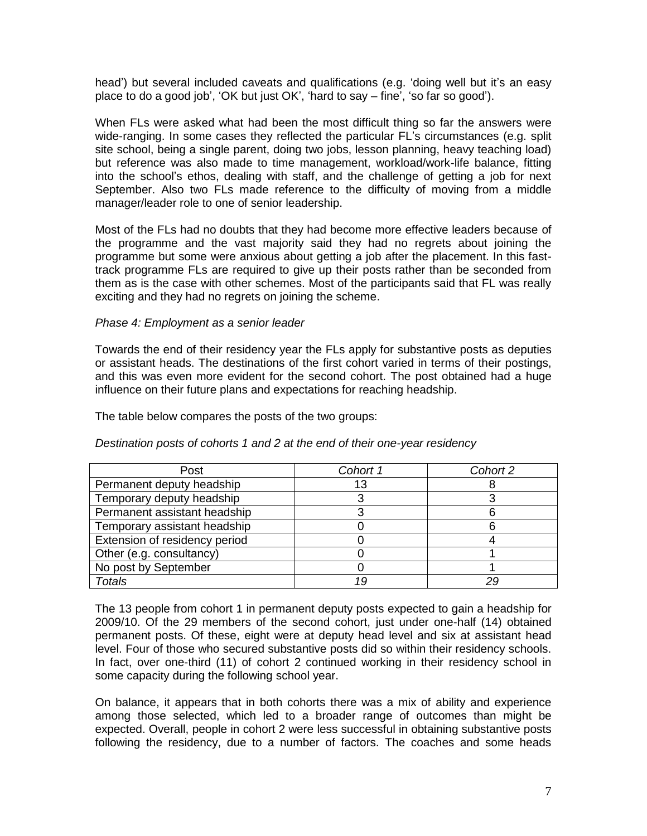head') but several included caveats and qualifications (e.g. 'doing well but it's an easy place to do a good job', 'OK but just OK', 'hard to say – fine', 'so far so good').

When FLs were asked what had been the most difficult thing so far the answers were wide-ranging. In some cases they reflected the particular FL's circumstances (e.g. split site school, being a single parent, doing two jobs, lesson planning, heavy teaching load) but reference was also made to time management, workload/work-life balance, fitting into the school's ethos, dealing with staff, and the challenge of getting a job for next September. Also two FLs made reference to the difficulty of moving from a middle manager/leader role to one of senior leadership.

Most of the FLs had no doubts that they had become more effective leaders because of the programme and the vast majority said they had no regrets about joining the programme but some were anxious about getting a job after the placement. In this fasttrack programme FLs are required to give up their posts rather than be seconded from them as is the case with other schemes. Most of the participants said that FL was really exciting and they had no regrets on joining the scheme.

### *Phase 4: Employment as a senior leader*

Towards the end of their residency year the FLs apply for substantive posts as deputies or assistant heads. The destinations of the first cohort varied in terms of their postings, and this was even more evident for the second cohort. The post obtained had a huge influence on their future plans and expectations for reaching headship.

The table below compares the posts of the two groups:

| Post                          | Cohort 1 | Cohort 2 |
|-------------------------------|----------|----------|
| Permanent deputy headship     |          |          |
| Temporary deputy headship     |          |          |
| Permanent assistant headship  |          |          |
| Temporary assistant headship  |          |          |
| Extension of residency period |          |          |
| Other (e.g. consultancy)      |          |          |
| No post by September          |          |          |
| Totals                        |          | 29       |

*Destination posts of cohorts 1 and 2 at the end of their one-year residency*

The 13 people from cohort 1 in permanent deputy posts expected to gain a headship for 2009/10. Of the 29 members of the second cohort, just under one-half (14) obtained permanent posts. Of these, eight were at deputy head level and six at assistant head level. Four of those who secured substantive posts did so within their residency schools. In fact, over one-third (11) of cohort 2 continued working in their residency school in some capacity during the following school year.

On balance, it appears that in both cohorts there was a mix of ability and experience among those selected, which led to a broader range of outcomes than might be expected. Overall, people in cohort 2 were less successful in obtaining substantive posts following the residency, due to a number of factors. The coaches and some heads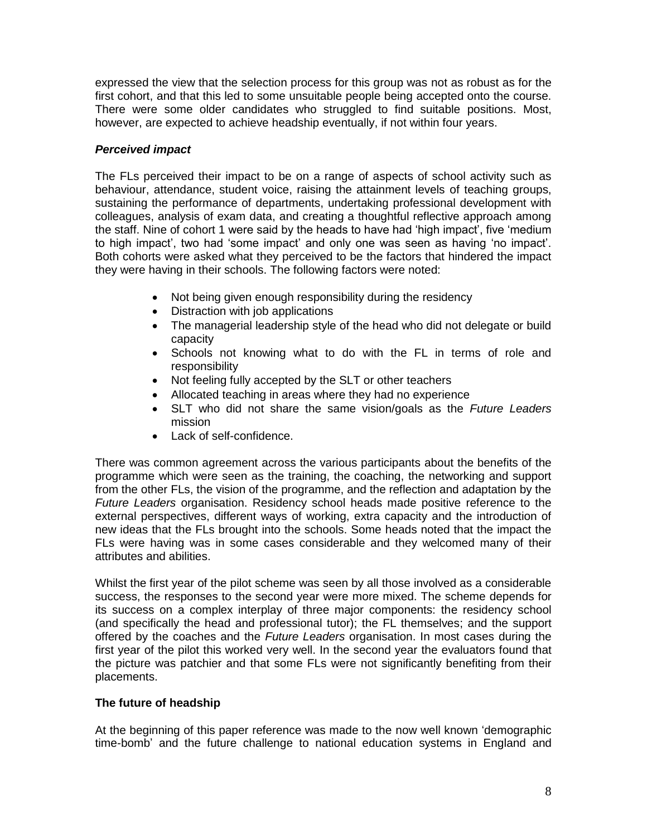expressed the view that the selection process for this group was not as robust as for the first cohort, and that this led to some unsuitable people being accepted onto the course. There were some older candidates who struggled to find suitable positions. Most, however, are expected to achieve headship eventually, if not within four years.

# *Perceived impact*

The FLs perceived their impact to be on a range of aspects of school activity such as behaviour, attendance, student voice, raising the attainment levels of teaching groups, sustaining the performance of departments, undertaking professional development with colleagues, analysis of exam data, and creating a thoughtful reflective approach among the staff. Nine of cohort 1 were said by the heads to have had 'high impact', five 'medium to high impact', two had 'some impact' and only one was seen as having 'no impact'. Both cohorts were asked what they perceived to be the factors that hindered the impact they were having in their schools. The following factors were noted:

- Not being given enough responsibility during the residency
- Distraction with job applications
- The managerial leadership style of the head who did not delegate or build capacity
- Schools not knowing what to do with the FL in terms of role and responsibility
- Not feeling fully accepted by the SLT or other teachers
- Allocated teaching in areas where they had no experience
- SLT who did not share the same vision/goals as the *Future Leaders* mission
- Lack of self-confidence.

There was common agreement across the various participants about the benefits of the programme which were seen as the training, the coaching, the networking and support from the other FLs, the vision of the programme, and the reflection and adaptation by the *Future Leaders* organisation. Residency school heads made positive reference to the external perspectives, different ways of working, extra capacity and the introduction of new ideas that the FLs brought into the schools. Some heads noted that the impact the FLs were having was in some cases considerable and they welcomed many of their attributes and abilities.

Whilst the first year of the pilot scheme was seen by all those involved as a considerable success, the responses to the second year were more mixed. The scheme depends for its success on a complex interplay of three major components: the residency school (and specifically the head and professional tutor); the FL themselves; and the support offered by the coaches and the *Future Leaders* organisation. In most cases during the first year of the pilot this worked very well. In the second year the evaluators found that the picture was patchier and that some FLs were not significantly benefiting from their placements.

## **The future of headship**

At the beginning of this paper reference was made to the now well known 'demographic time-bomb' and the future challenge to national education systems in England and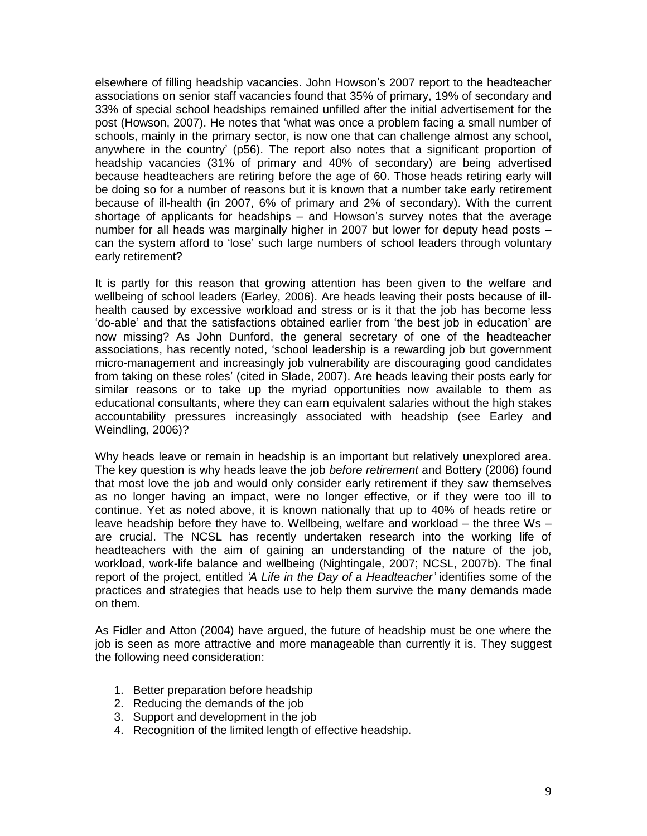elsewhere of filling headship vacancies. John Howson's 2007 report to the headteacher associations on senior staff vacancies found that 35% of primary, 19% of secondary and 33% of special school headships remained unfilled after the initial advertisement for the post (Howson, 2007). He notes that 'what was once a problem facing a small number of schools, mainly in the primary sector, is now one that can challenge almost any school, anywhere in the country' (p56). The report also notes that a significant proportion of headship vacancies (31% of primary and 40% of secondary) are being advertised because headteachers are retiring before the age of 60. Those heads retiring early will be doing so for a number of reasons but it is known that a number take early retirement because of ill-health (in 2007, 6% of primary and 2% of secondary). With the current shortage of applicants for headships – and Howson's survey notes that the average number for all heads was marginally higher in 2007 but lower for deputy head posts – can the system afford to 'lose' such large numbers of school leaders through voluntary early retirement?

It is partly for this reason that growing attention has been given to the welfare and wellbeing of school leaders (Earley, 2006). Are heads leaving their posts because of illhealth caused by excessive workload and stress or is it that the job has become less 'do-able' and that the satisfactions obtained earlier from 'the best job in education' are now missing? As John Dunford, the general secretary of one of the headteacher associations, has recently noted, 'school leadership is a rewarding job but government micro-management and increasingly job vulnerability are discouraging good candidates from taking on these roles' (cited in Slade, 2007). Are heads leaving their posts early for similar reasons or to take up the myriad opportunities now available to them as educational consultants, where they can earn equivalent salaries without the high stakes accountability pressures increasingly associated with headship (see Earley and Weindling, 2006)?

Why heads leave or remain in headship is an important but relatively unexplored area. The key question is why heads leave the job *before retirement* and Bottery (2006) found that most love the job and would only consider early retirement if they saw themselves as no longer having an impact, were no longer effective, or if they were too ill to continue. Yet as noted above, it is known nationally that up to 40% of heads retire or leave headship before they have to. Wellbeing, welfare and workload – the three Ws – are crucial. The NCSL has recently undertaken research into the working life of headteachers with the aim of gaining an understanding of the nature of the job, workload, work-life balance and wellbeing (Nightingale, 2007; NCSL, 2007b). The final report of the project, entitled *'A Life in the Day of a Headteacher'* identifies some of the practices and strategies that heads use to help them survive the many demands made on them.

As Fidler and Atton (2004) have argued, the future of headship must be one where the job is seen as more attractive and more manageable than currently it is. They suggest the following need consideration:

- 1. Better preparation before headship
- 2. Reducing the demands of the job
- 3. Support and development in the job
- 4. Recognition of the limited length of effective headship.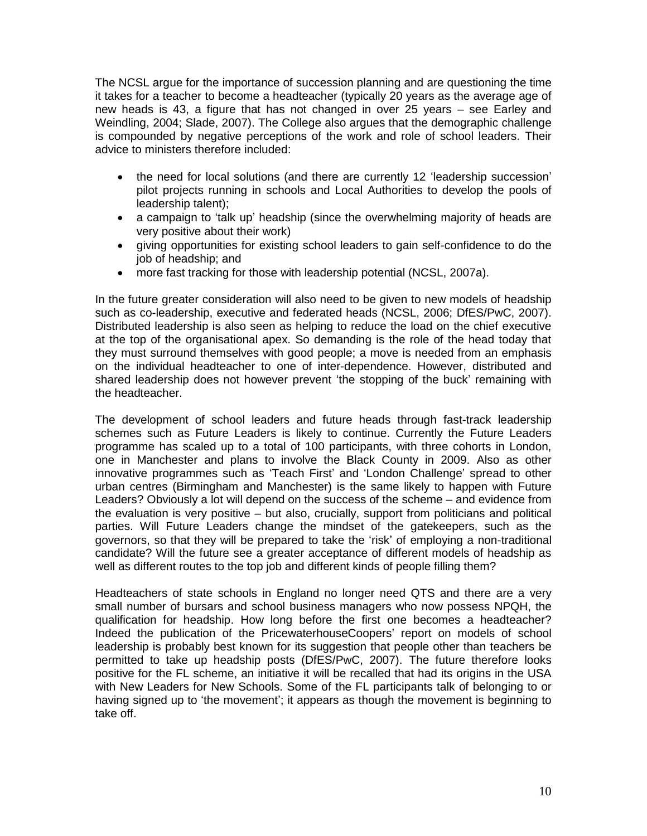The NCSL argue for the importance of succession planning and are questioning the time it takes for a teacher to become a headteacher (typically 20 years as the average age of new heads is 43, a figure that has not changed in over 25 years – see Earley and Weindling, 2004; Slade, 2007). The College also argues that the demographic challenge is compounded by negative perceptions of the work and role of school leaders. Their advice to ministers therefore included:

- the need for local solutions (and there are currently 12 'leadership succession' pilot projects running in schools and Local Authorities to develop the pools of leadership talent);
- a campaign to 'talk up' headship (since the overwhelming majority of heads are very positive about their work)
- giving opportunities for existing school leaders to gain self-confidence to do the job of headship; and
- more fast tracking for those with leadership potential (NCSL, 2007a).

In the future greater consideration will also need to be given to new models of headship such as co-leadership, executive and federated heads (NCSL, 2006; DfES/PwC, 2007). Distributed leadership is also seen as helping to reduce the load on the chief executive at the top of the organisational apex. So demanding is the role of the head today that they must surround themselves with good people; a move is needed from an emphasis on the individual headteacher to one of inter-dependence. However, distributed and shared leadership does not however prevent 'the stopping of the buck' remaining with the headteacher.

The development of school leaders and future heads through fast-track leadership schemes such as Future Leaders is likely to continue. Currently the Future Leaders programme has scaled up to a total of 100 participants, with three cohorts in London, one in Manchester and plans to involve the Black County in 2009. Also as other innovative programmes such as 'Teach First' and 'London Challenge' spread to other urban centres (Birmingham and Manchester) is the same likely to happen with Future Leaders? Obviously a lot will depend on the success of the scheme – and evidence from the evaluation is very positive – but also, crucially, support from politicians and political parties. Will Future Leaders change the mindset of the gatekeepers, such as the governors, so that they will be prepared to take the 'risk' of employing a non-traditional candidate? Will the future see a greater acceptance of different models of headship as well as different routes to the top job and different kinds of people filling them?

Headteachers of state schools in England no longer need QTS and there are a very small number of bursars and school business managers who now possess NPQH, the qualification for headship. How long before the first one becomes a headteacher? Indeed the publication of the PricewaterhouseCoopers' report on models of school leadership is probably best known for its suggestion that people other than teachers be permitted to take up headship posts (DfES/PwC, 2007). The future therefore looks positive for the FL scheme, an initiative it will be recalled that had its origins in the USA with New Leaders for New Schools. Some of the FL participants talk of belonging to or having signed up to 'the movement'; it appears as though the movement is beginning to take off.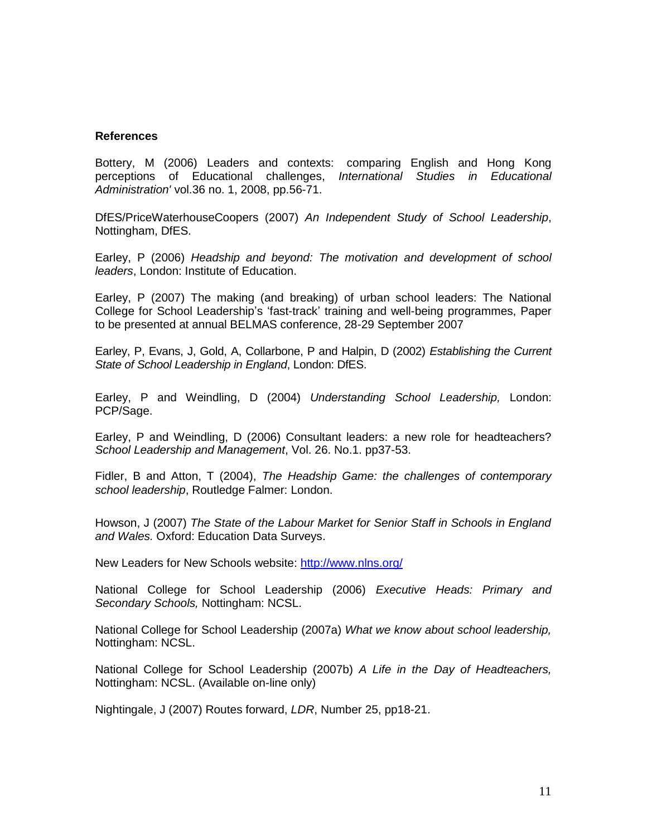### **References**

Bottery, M (2006) Leaders and contexts: comparing English and Hong Kong perceptions of Educational challenges, *International Studies in Educational Administration'* vol.36 no. 1, 2008, pp.56-71.

DfES/PriceWaterhouseCoopers (2007) *An Independent Study of School Leadership*, Nottingham, DfES.

Earley, P (2006) *Headship and beyond: The motivation and development of school leaders*, London: Institute of Education.

Earley, P (2007) The making (and breaking) of urban school leaders: The National College for School Leadership's 'fast-track' training and well-being programmes, Paper to be presented at annual BELMAS conference, 28-29 September 2007

Earley, P, Evans, J, Gold, A, Collarbone, P and Halpin, D (2002) *Establishing the Current State of School Leadership in England*, London: DfES.

Earley, P and Weindling, D (2004) *Understanding School Leadership,* London: PCP/Sage.

Earley, P and Weindling, D (2006) Consultant leaders: a new role for headteachers? *School Leadership and Management*, Vol. 26. No.1. pp37-53.

Fidler, B and Atton, T (2004), *The Headship Game: the challenges of contemporary school leadership*, Routledge Falmer: London.

Howson, J (2007) *The State of the Labour Market for Senior Staff in Schools in England and Wales.* Oxford: Education Data Surveys.

New Leaders for New Schools website:<http://www.nlns.org/>

National College for School Leadership (2006) *Executive Heads: Primary and Secondary Schools,* Nottingham: NCSL.

National College for School Leadership (2007a) *What we know about school leadership,* Nottingham: NCSL.

National College for School Leadership (2007b) *A Life in the Day of Headteachers,* Nottingham: NCSL. (Available on-line only)

Nightingale, J (2007) Routes forward, *LDR*, Number 25, pp18-21.